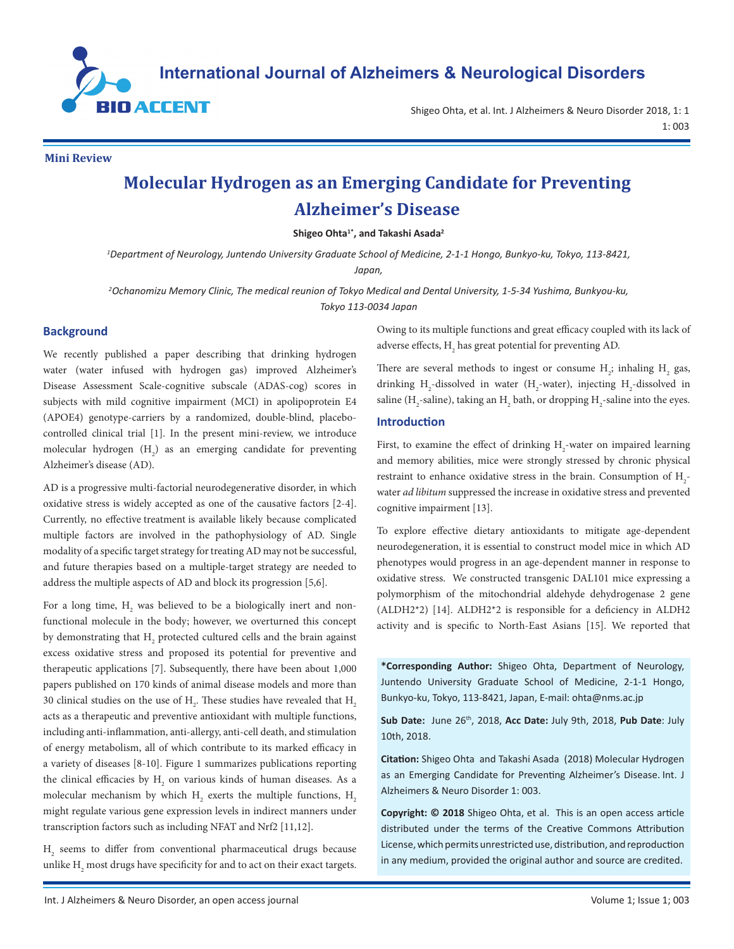

Shigeo Ohta, et al. Int. J Alzheimers & Neuro Disorder 2018, 1: 1 1: 003

**Mini Review**

# **Molecular Hydrogen as an Emerging Candidate for Preventing Alzheimer's Disease**

**Shigeo Ohta1\*, and Takashi Asada2**

*1 Department of Neurology, Juntendo University Graduate School of Medicine, 2-1-1 Hongo, Bunkyo-ku, Tokyo, 113-8421,* 

*Japan,* 

*2 Ochanomizu Memory Clinic, The medical reunion of Tokyo Medical and Dental University, 1-5-34 Yushima, Bunkyou-ku, Tokyo 113-0034 Japan*

### **Background**

We recently published a paper describing that drinking hydrogen water (water infused with hydrogen gas) improved Alzheimer's Disease Assessment Scale-cognitive subscale (ADAS-cog) scores in subjects with mild cognitive impairment (MCI) in apolipoprotein E4 (APOE4) genotype-carriers by a randomized, double-blind, placebocontrolled clinical trial [1]. In the present mini-review, we introduce molecular hydrogen  $(H_2)$  as an emerging candidate for preventing Alzheimer's disease (AD).

AD is a progressive multi-factorial neurodegenerative disorder, in which oxidative stress is widely accepted as one of the causative factors [2-4]. Currently, no effective treatment is available likely because complicated multiple factors are involved in the pathophysiology of AD. Single modality of a specific target strategy for treating AD may not be successful, and future therapies based on a multiple-target strategy are needed to address the multiple aspects of AD and block its progression [5,6].

For a long time,  $\mathrm{H}_\mathrm{2}$  was believed to be a biologically inert and nonfunctional molecule in the body; however, we overturned this concept by demonstrating that  $\mathrm{H}_\mathrm{2}$  protected cultured cells and the brain against excess oxidative stress and proposed its potential for preventive and therapeutic applications [7]. Subsequently, there have been about 1,000 papers published on 170 kinds of animal disease models and more than 30 clinical studies on the use of  $\rm{H}_{2}$ . These studies have revealed that  $\rm{H}_{2}$ acts as a therapeutic and preventive antioxidant with multiple functions, including anti-inflammation, anti-allergy, anti-cell death, and stimulation of energy metabolism, all of which contribute to its marked efficacy in a variety of diseases [8-10]. Figure 1 summarizes publications reporting the clinical efficacies by  $H_2$  on various kinds of human diseases. As a molecular mechanism by which  $H_2$  exerts the multiple functions,  $H_2$ might regulate various gene expression levels in indirect manners under transcription factors such as including NFAT and Nrf2 [11,12].

 $H<sub>2</sub>$  seems to differ from conventional pharmaceutical drugs because unlike  $\mathrm{H}_{\mathrm{2}}$  most drugs have specificity for and to act on their exact targets. Owing to its multiple functions and great efficacy coupled with its lack of adverse effects,  $H_2$  has great potential for preventing AD.

There are several methods to ingest or consume  $H_2$ ; inhaling  $H_2$  gas, drinking  $H_2$ -dissolved in water ( $H_2$ -water), injecting  $H_2$ -dissolved in saline (H<sub>2</sub>-saline), taking an H<sub>2</sub> bath, or dropping H<sub>2</sub>-saline into the eyes.

# **Introduction**

First, to examine the effect of drinking  $H_2$ -water on impaired learning and memory abilities, mice were strongly stressed by chronic physical restraint to enhance oxidative stress in the brain. Consumption of  $H_2$ water *ad libitum* suppressed the increase in oxidative stress and prevented cognitive impairment [13].

To explore effective dietary antioxidants to mitigate age-dependent neurodegeneration, it is essential to construct model mice in which AD phenotypes would progress in an age-dependent manner in response to oxidative stress. We constructed transgenic DAL101 mice expressing a polymorphism of the mitochondrial aldehyde dehydrogenase 2 gene (ALDH2\*2) [14]. ALDH2\*2 is responsible for a deficiency in ALDH2 activity and is specific to North-East Asians [15]. We reported that

**\*Corresponding Author:** Shigeo Ohta, Department of Neurology, Juntendo University Graduate School of Medicine, 2-1-1 Hongo, Bunkyo-ku, Tokyo, 113-8421, Japan, E-mail: [ohta@nms.ac.jp](mailto:ohta@nms.ac.jp)

**Sub Date:** June 26th, 2018, **Acc Date:** July 9th, 2018, **Pub Date**: July 10th, 2018.

**Citation:** Shigeo Ohta and Takashi Asada (2018) Molecular Hydrogen as an Emerging Candidate for Preventing Alzheimer's Disease. Int. J Alzheimers & Neuro Disorder 1: 003.

**Copyright: © 2018** Shigeo Ohta, et al. This is an open access article distributed under the terms of the Creative Commons Attribution License, which permits unrestricted use, distribution, and reproduction in any medium, provided the original author and source are credited.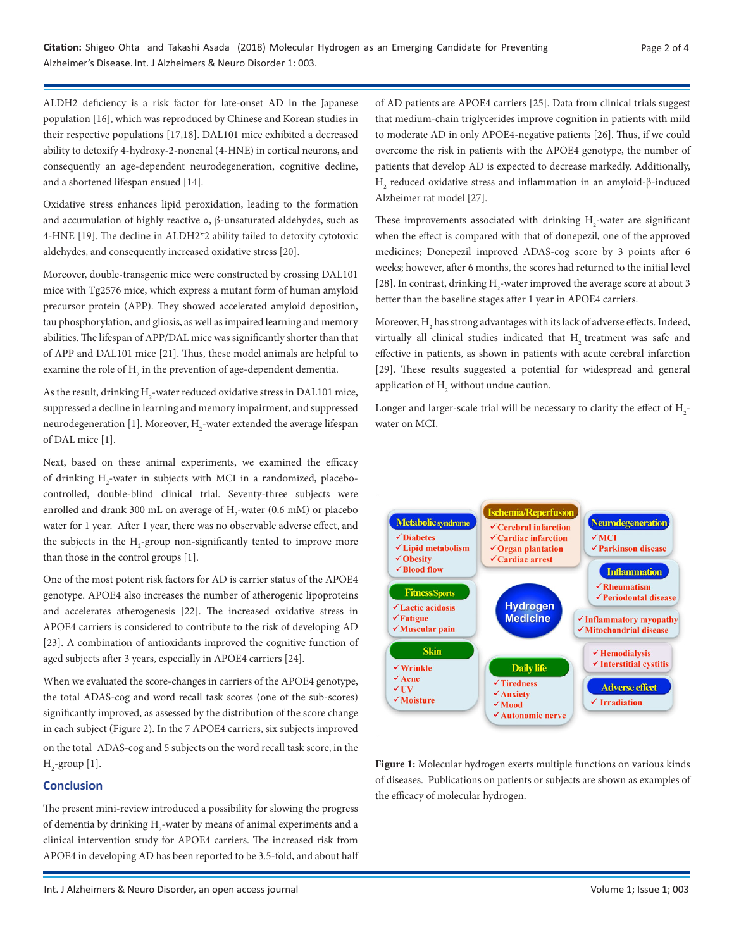ALDH2 deficiency is a risk factor for late-onset AD in the Japanese population [16], which was reproduced by Chinese and Korean studies in their respective populations [17,18]. DAL101 mice exhibited a decreased ability to detoxify 4-hydroxy-2-nonenal (4-HNE) in cortical neurons, and consequently an age-dependent neurodegeneration, cognitive decline, and a shortened lifespan ensued [14].

Oxidative stress enhances lipid peroxidation, leading to the formation and accumulation of highly reactive α, β-unsaturated aldehydes, such as 4-HNE [19]. The decline in ALDH2\*2 ability failed to detoxify cytotoxic aldehydes, and consequently increased oxidative stress [20].

Moreover, double-transgenic mice were constructed by crossing DAL101 mice with Tg2576 mice, which express a mutant form of human amyloid precursor protein (APP). They showed accelerated amyloid deposition, tau phosphorylation, and gliosis, as well as impaired learning and memory abilities. The lifespan of APP/DAL mice was significantly shorter than that of APP and DAL101 mice [21]. Thus, these model animals are helpful to examine the role of  $\mathrm{H}_2$  in the prevention of age-dependent dementia.

As the result, drinking  $\rm H_2$  -water reduced oxidative stress in DAL101 mice, suppressed a decline in learning and memory impairment, and suppressed neurodegeneration [1]. Moreover,  $\rm{H}_{2}$ -water extended the average lifespan of DAL mice [1].

Next, based on these animal experiments, we examined the efficacy of drinking  $H_2$ -water in subjects with MCI in a randomized, placebocontrolled, double-blind clinical trial. Seventy-three subjects were enrolled and drank 300 mL on average of  $\text{H}_{2}$ -water (0.6 mM) or placebo water for 1 year. After 1 year, there was no observable adverse effect, and the subjects in the  $H_2$ -group non-significantly tented to improve more than those in the control groups [1].

One of the most potent risk factors for AD is carrier status of the APOE4 genotype. APOE4 also increases the number of atherogenic lipoproteins and accelerates atherogenesis [22]. The increased oxidative stress in APOE4 carriers is considered to contribute to the risk of developing AD [23]. A combination of antioxidants improved the cognitive function of aged subjects after 3 years, especially in APOE4 carriers [24].

When we evaluated the score-changes in carriers of the APOE4 genotype, the total ADAS-cog and word recall task scores (one of the sub-scores) significantly improved, as assessed by the distribution of the score change in each subject (Figure 2). In the 7 APOE4 carriers, six subjects improved on the total ADAS-cog and 5 subjects on the word recall task score, in the  $H_2$ -group [1].

# **Conclusion**

The present mini-review introduced a possibility for slowing the progress of dementia by drinking  $H_2$ -water by means of animal experiments and a clinical intervention study for APOE4 carriers. The increased risk from APOE4 in developing AD has been reported to be 3.5-fold, and about half of AD patients are APOE4 carriers [25]. Data from clinical trials suggest that medium-chain triglycerides improve cognition in patients with mild to moderate AD in only APOE4-negative patients [26]. Thus, if we could overcome the risk in patients with the APOE4 genotype, the number of patients that develop AD is expected to decrease markedly. Additionally,  $_{\rm H_2}$  reduced oxidative stress and inflammation in an amyloid-β-induced Alzheimer rat model [27].

These improvements associated with drinking  $H_2$ -water are significant when the effect is compared with that of donepezil, one of the approved medicines; Donepezil improved ADAS-cog score by 3 points after 6 weeks; however, after 6 months, the scores had returned to the initial level [28]. In contrast, drinking  $H_2$ -water improved the average score at about 3 better than the baseline stages after 1 year in APOE4 carriers.

Moreover,  $\rm H_2$  has strong advantages with its lack of adverse effects. Indeed, virtually all clinical studies indicated that H<sub>2</sub> treatment was safe and effective in patients, as shown in patients with acute cerebral infarction [29]. These results suggested a potential for widespread and general application of  $H_2$  without undue caution.

Longer and larger-scale trial will be necessary to clarify the effect of  $\rm H_{2}$ water on MCI.



**Figure 1:** Molecular hydrogen exerts multiple functions on various kinds of diseases. Publications on patients or subjects are shown as examples of the efficacy of molecular hydrogen.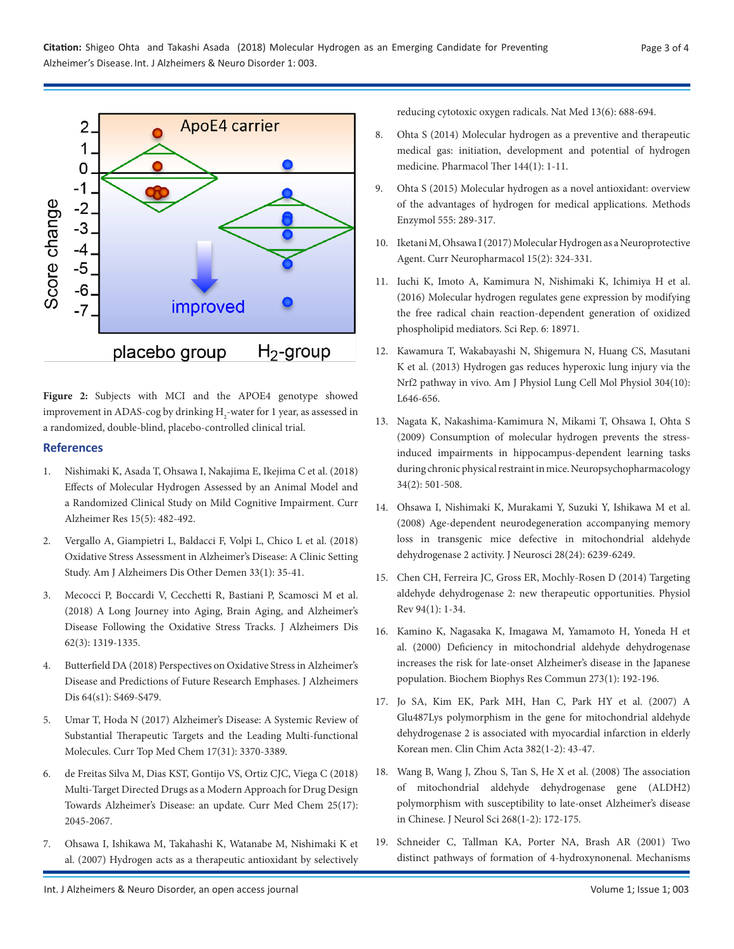

**Figure 2:** Subjects with MCI and the APOE4 genotype showed improvement in ADAS-cog by drinking  $\rm H_{2}$  -water for 1 year, as assessed in a randomized, double-blind, placebo-controlled clinical trial.

### **References**

- 1. Nishimaki K, Asada T, Ohsawa [I, Nakajima](https://www.ncbi.nlm.nih.gov/pubmed/29110615) E, Ikejima C et al. (2018) Effects of [Molecular](https://www.ncbi.nlm.nih.gov/pubmed/29110615) Hydrogen Assessed by an Animal Model and a Randomized Clinical Study on Mild Cognitive [Impairment. Curr](https://www.ncbi.nlm.nih.gov/pubmed/29110615) Alzheimer Res [15\(5\): 482-492.](https://www.ncbi.nlm.nih.gov/pubmed/29110615)
- 2. Vergallo [A, Giampietri](https://www.ncbi.nlm.nih.gov/pubmed/28931301) L, Baldacci F, Volpi L, Chico L et al. (2018) Oxidative Stress Assessment in [Alzheimer's](https://www.ncbi.nlm.nih.gov/pubmed/28931301) Disease: A Clinic Setting Study. Am J Alzheimers Dis Other Demen [33\(1\): 35-41.](https://www.ncbi.nlm.nih.gov/pubmed/28931301)
- 3. Mecocci P, Boccardi [V, Cecchetti](https://www.ncbi.nlm.nih.gov/pubmed/29562533) R, Bastiani P, Scamosci M et al. (2018) A Long Journey into [Aging, Brain](https://www.ncbi.nlm.nih.gov/pubmed/29562533) Aging, and Alzheimer's Disease Following the Oxidative Stress Tracks. J [Alzheimers](https://www.ncbi.nlm.nih.gov/pubmed/29562533) Dis [62\(3\): 1319-1335.](https://www.ncbi.nlm.nih.gov/pubmed/29562533)
- 4. Butterfield [DA \(2018\) Perspectives](https://www.ncbi.nlm.nih.gov/pubmed/29504538) on Oxidative StressinAlzheimer's Disease and Predictions of Future Research [Emphases. J](https://www.ncbi.nlm.nih.gov/pubmed/29504538) Alzheimers Dis [64\(s1\): S469-S479.](https://www.ncbi.nlm.nih.gov/pubmed/29504538)
- 5. Umar T, Hoda [N \(2017\) Alzheimer's](https://www.ncbi.nlm.nih.gov/pubmed/29332579) Disease: A Systemic Review of Substantial Therapeutic Targets and the Leading [Multi-functional](https://www.ncbi.nlm.nih.gov/pubmed/29332579) Molecules. Curr Top Med Chem [17\(31\): 3370-3389.](https://www.ncbi.nlm.nih.gov/pubmed/29332579)
- 6. de Freitas Silva M, Dias [KST, Gontijo](https://www.ncbi.nlm.nih.gov/pubmed/29332563) VS, Ortiz CJC, Viega C (2018) [Multi-Target](https://www.ncbi.nlm.nih.gov/pubmed/29332563) Directed Drugs as a Modern Approach for Drug Design Towards Alzheimer's Disease: an [update. Curr](https://www.ncbi.nlm.nih.gov/pubmed/29332563) Med Chem 25(17): [2045-2067.](https://www.ncbi.nlm.nih.gov/pubmed/29332563)
- 7. Ohsawa I, Ishikawa M, Takahashi K, Watanabe [M, Nishimaki](https://www.ncbi.nlm.nih.gov/pubmed/17486089) K et [al. \(2007\) Hydrogen](https://www.ncbi.nlm.nih.gov/pubmed/17486089) acts as a therapeutic antioxidant by selectively

reducing cytotoxic oxygen radicals. Nat Med [13\(6\): 688-694.](https://www.ncbi.nlm.nih.gov/pubmed/17486089)

- 8. Ohta [S \(2014\) Molecular](https://www.ncbi.nlm.nih.gov/pubmed/24769081) hydrogen as a preventive and therapeutic medical [gas: initiation, development](https://www.ncbi.nlm.nih.gov/pubmed/24769081) and potential of hydrogen [medicine. Pharmacol](https://www.ncbi.nlm.nih.gov/pubmed/24769081) Ther 144(1): 1-11.
- 9. Ohta S (2015) Molecular hydrogen as a novel [antioxidant: overview](https://www.ncbi.nlm.nih.gov/pubmed/25747486) of the advantages of hydrogen for medical [applications. Methods](https://www.ncbi.nlm.nih.gov/pubmed/25747486) Enzymol [555: 289-317.](https://www.ncbi.nlm.nih.gov/pubmed/25747486)
- 10. Iketani M, Ohsawa I (2017) Molecular Hydrogen as a Neuroprotective Agent. Curr [Neuropharmacol](https://www.ncbi.nlm.nih.gov/pubmed/27281176) 15(2): 324-331.
- 11. Iuchi K, Imoto [A, Kamimura](https://www.ncbi.nlm.nih.gov/pubmed/26739257) N, Nishimaki K, Ichimiya H et al. [\(2016\) Molecular](https://www.ncbi.nlm.nih.gov/pubmed/26739257) hydrogen regulates gene expression by modifying the free radical chain [reaction-dependent](https://www.ncbi.nlm.nih.gov/pubmed/26739257) generation of oxidized phospholipid [mediators. Sci](https://www.ncbi.nlm.nih.gov/pubmed/26739257) Rep. 6: 18971.
- 12. Kawamura [T, Wakabayashi](https://www.ncbi.nlm.nih.gov/pubmed/23475767) N, Shigemura N, Huang CS, Masutani K et [al. \(2013\) Hydrogen](https://www.ncbi.nlm.nih.gov/pubmed/23475767) gas reduces hyperoxic lung injury via the Nrf2 pathway in [vivo. Am](https://www.ncbi.nlm.nih.gov/pubmed/23475767) J Physiol Lung Cell Mol Physiol 304(10): [L646-656.](https://www.ncbi.nlm.nih.gov/pubmed/23475767)
- 13. Nagata [K, Nakashima-Kamimura](https://www.ncbi.nlm.nih.gov/pubmed/18563058) N, Mikami T, Ohsawa I, Ohta S [\(2009\) Consumption](https://www.ncbi.nlm.nih.gov/pubmed/18563058) of molecular hydrogen prevents the stressinduced impairments in [hippocampus-dependent](https://www.ncbi.nlm.nih.gov/pubmed/18563058) learning tasks during chronic physical restraint in mice. Neuropsychopharmacology [34\(2\): 501-508.](https://www.ncbi.nlm.nih.gov/pubmed/18563058)
- 14. Ohsawa I, Nishimaki [K, Murakami](https://www.ncbi.nlm.nih.gov/pubmed/18550766) Y, Suzuki Y, Ishikawa M et al. [\(2008\) Age-dependent](https://www.ncbi.nlm.nih.gov/pubmed/18550766) neurodegeneration accompanying memory loss in transgenic mice defective in [mitochondrial](https://www.ncbi.nlm.nih.gov/pubmed/18550766) aldehyde dehydrogenase 2 activity. J Neurosci [28\(24\): 6239-6249.](https://www.ncbi.nlm.nih.gov/pubmed/18550766)
- 15. Chen CH, Ferreira JC, Gross ER, Mochly-Rosen [D \(2014\) Targeting](https://www.ncbi.nlm.nih.gov/pubmed/24382882) aldehyde dehydrogenase 2: new therapeutic [opportunities. Physiol](https://www.ncbi.nlm.nih.gov/pubmed/24382882) Rev [94\(1\): 1-34.](https://www.ncbi.nlm.nih.gov/pubmed/24382882)
- 16. Kamino K, Nagasaka K, Imagawa [M, Yamamoto](https://www.ncbi.nlm.nih.gov/pubmed/10873585) H, Yoneda H et [al. \(2000\) Deficiency](https://www.ncbi.nlm.nih.gov/pubmed/10873585) in mitochondrial aldehyde dehydrogenase increases the risk for late-onset [Alzheimer's](https://www.ncbi.nlm.nih.gov/pubmed/10873585) disease in the Japanese [population. Biochem](https://www.ncbi.nlm.nih.gov/pubmed/10873585) Biophys Res Commun 273(1): 192-196.
- 17. Jo SA, Kim EK, Park MH, Han C, Park HY et [al. \(2007\) A](https://www.ncbi.nlm.nih.gov/pubmed/17459359) Glu487Lys [polymorphism](https://www.ncbi.nlm.nih.gov/pubmed/17459359) in the gene for mitochondrial aldehyde [dehydrogenase](https://www.ncbi.nlm.nih.gov/pubmed/17459359) 2 is associated with myocardial infarction in elderly Korean men. Clin Chim Acta [382\(1-2\): 43-47.](https://www.ncbi.nlm.nih.gov/pubmed/17459359)
- 18. Wang B, Wang J, Zhou S, Tan S, He X et [al. \(2008\) The](https://www.ncbi.nlm.nih.gov/pubmed/18201725) association of mitochondrial aldehyde dehydrogenase [gene \(ALDH2\)](https://www.ncbi.nlm.nih.gov/pubmed/18201725)  [polymorphism](https://www.ncbi.nlm.nih.gov/pubmed/18201725) with susceptibility to late-onset Alzheimer's disease in Chinese. J Neurol Sci [268\(1-2\): 172-175.](https://www.ncbi.nlm.nih.gov/pubmed/18201725)
- 19. Schneider C, Tallman KA, Porter NA, Brash [AR \(2001\) Two](https://www.ncbi.nlm.nih.gov/pubmed/11259420) distinct pathways of formation of [4-hydroxynonenal. Mechanisms](https://www.ncbi.nlm.nih.gov/pubmed/11259420)